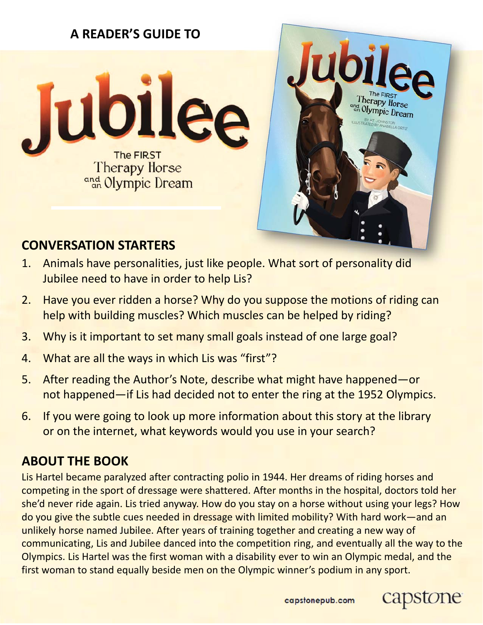

# herapy Horse and Olympic Dream

### **CONVERSATION STARTERS**

- 1. Animals have personalities, just like people. What sort of personality did Jubilee need to have in order to help Lis?
- 2. Have you ever ridden a horse? Why do you suppose the motions of riding can help with building muscles? Which muscles can be helped by riding?
- 3. Why is it important to set many small goals instead of one large goal?
- 4. What are all the ways in which Lis was "first"?
- 5. After reading the Author's Note, describe what might have happened—or not happened—if Lis had decided not to enter the ring at the 1952 Olympics.
- 6. If you were going to look up more information about this story at the library or on the internet, what keywords would you use in your search?

## **ABOUT THE BOOK**

Lis Hartel became paralyzed after contracting polio in 1944. Her dreams of riding horses and competing in the sport of dressage were shattered. After months in the hospital, doctors told her she'd never ride again. Lis tried anyway. How do you stay on a horse without using your legs? How do you give the subtle cues needed in dressage with limited mobility? With hard work—and an unlikely horse named Jubilee. After years of training together and creating a new way of communicating, Lis and Jubilee danced into the competition ring, and eventually all the way to the Olympics. Lis Hartel was the first woman with a disability ever to win an Olympic medal, and the first woman to stand equally beside men on the Olympic winner's podium in any sport.



one